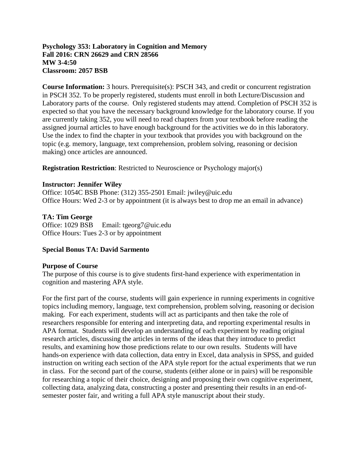## **Psychology 353: Laboratory in Cognition and Memory Fall 2016: CRN 26629 and CRN 28566 MW 3-4:50 Classroom: 2057 BSB**

**Course Information:** 3 hours. Prerequisite(s): PSCH 343, and credit or concurrent registration in PSCH 352. To be properly registered, students must enroll in both Lecture/Discussion and Laboratory parts of the course. Only registered students may attend. Completion of PSCH 352 is expected so that you have the necessary background knowledge for the laboratory course. If you are currently taking 352, you will need to read chapters from your textbook before reading the assigned journal articles to have enough background for the activities we do in this laboratory. Use the index to find the chapter in your textbook that provides you with background on the topic (e.g. memory, language, text comprehension, problem solving, reasoning or decision making) once articles are announced.

**Registration Restriction:** Restricted to Neuroscience or Psychology major(s)

## **Instructor: Jennifer Wiley**

Office: 1054C BSB Phone: (312) 355-2501 Email: jwiley@uic.edu Office Hours: Wed 2-3 or by appointment (it is always best to drop me an email in advance)

## **TA: Tim George**

Office: 1029 BSB Email: tgeorg7@uic.edu Office Hours: Tues 2-3 or by appointment

## **Special Bonus TA: David Sarmento**

## **Purpose of Course**

The purpose of this course is to give students first-hand experience with experimentation in cognition and mastering APA style.

For the first part of the course, students will gain experience in running experiments in cognitive topics including memory, language, text comprehension, problem solving, reasoning or decision making. For each experiment, students will act as participants and then take the role of researchers responsible for entering and interpreting data, and reporting experimental results in APA format. Students will develop an understanding of each experiment by reading original research articles, discussing the articles in terms of the ideas that they introduce to predict results, and examining how those predictions relate to our own results. Students will have hands-on experience with data collection, data entry in Excel, data analysis in SPSS, and guided instruction on writing each section of the APA style report for the actual experiments that we run in class. For the second part of the course, students (either alone or in pairs) will be responsible for researching a topic of their choice, designing and proposing their own cognitive experiment, collecting data, analyzing data, constructing a poster and presenting their results in an end-ofsemester poster fair, and writing a full APA style manuscript about their study.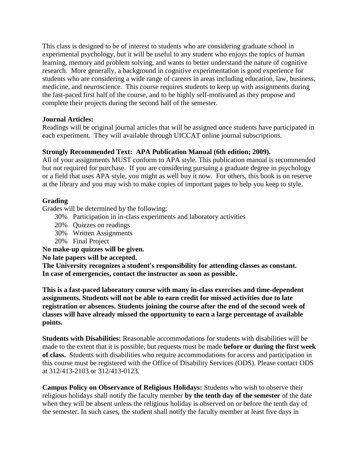This class is designed to be of interest to students who are considering graduate school in experimental psychology, but it will be useful to any student who enjoys the topics of human learning, memory and problem solving, and wants to better understand the nature of cognitive research. More generally, a background in cognitive experimentation is good experience for students who are considering a wide range of careers in areas including education, law, business, medicine, and neuroscience. This course requires students to keep up with assignments during the fast-paced first half of the course, and to be highly self-motivated as they propose and complete their projects during the second half of the semester.

## **Journal Articles:**

Readings will be original journal articles that will be assigned once students have participated in each experiment. They will available through UICCAT online journal subscriptions.

## **Strongly Recommended Text: APA Publication Manual (6th edition; 2009).**

All of your assignments MUST conform to APA style. This publication manual is recommended but not required for purchase. If you are considering pursuing a graduate degree in psychology or a field that uses APA style, you might as well buy it now. For others, this book is on reserve at the library and you may wish to make copies of important pages to help you keep to style.

## **Grading**

Grades will be determined by the following:

- 30% Participation in in-class experiments and laboratory activities
- 20% Quizzes on readings
- 30% Written Assignments
- 20% Final Project

# **No make-up quizzes will be given.**

# **No late papers will be accepted.**

**The University recognizes a student's responsibility for attending classes as constant. In case of emergencies, contact the instructor as soon as possible.**

**This is a fast-paced laboratory course with many in-class exercises and time-dependent assignments. Students will not be able to earn credit for missed activities due to late registration or absences. Students joining the course after the end of the second week of classes will have already missed the opportunity to earn a large percentage of available points.**

**Students with Disabilities:** Reasonable accommodations for students with disabilities will be made to the extent that it is possible, but requests must be made **before or during the first week of class.** Students with disabilities who require accommodations for access and participation in this course must be registered with the Office of Disability Services (ODS). Please contact ODS at 312/413-2103 or 312/413-0123.

**Campus Policy on Observance of Religious Holidays:** Students who wish to observe their religious holidays shall notify the faculty member **by the tenth day of the semester** of the date when they will be absent unless the religious holiday is observed on or before the tenth day of the semester. In such cases, the student shall notify the faculty member at least five days in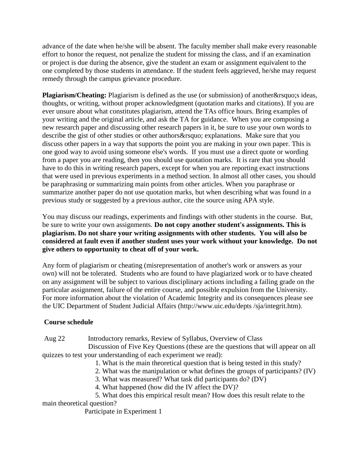advance of the date when he/she will be absent. The faculty member shall make every reasonable effort to honor the request, not penalize the student for missing the class, and if an examination or project is due during the absence, give the student an exam or assignment equivalent to the one completed by those students in attendance. If the student feels aggrieved, he/she may request remedy through the campus grievance procedure.

**Plagiarism/Cheating:** Plagiarism is defined as the use (or submission) of another & rsquo; s ideas, thoughts, or writing, without proper acknowledgment (quotation marks and citations). If you are ever unsure about what constitutes plagiarism, attend the TAs office hours. Bring examples of your writing and the original article, and ask the TA for guidance. When you are composing a new research paper and discussing other research papers in it, be sure to use your own words to describe the gist of other studies or other authors' explanations. Make sure that you discuss other papers in a way that supports the point you are making in your own paper. This is one good way to avoid using someone else's words. If you must use a direct quote or wording from a paper you are reading, then you should use quotation marks. It is rare that you should have to do this in writing research papers, except for when you are reporting exact instructions that were used in previous experiments in a method section. In almost all other cases, you should be paraphrasing or summarizing main points from other articles. When you paraphrase or summarize another paper do not use quotation marks, but when describing what was found in a previous study or suggested by a previous author, cite the source using APA style.

You may discuss our readings, experiments and findings with other students in the course. But, be sure to write your own assignments. **Do not copy another student's assignments. This is plagiarism. Do not share your writing assignments with other students. You will also be considered at fault even if another student uses your work without your knowledge. Do not give others to opportunity to cheat off of your work.**

Any form of plagiarism or cheating (misrepresentation of another's work or answers as your own) will not be tolerated. Students who are found to have plagiarized work or to have cheated on any assignment will be subject to various disciplinary actions including a failing grade on the particular assignment, failure of the entire course, and possible expulsion from the University. For more information about the violation of Academic Integrity and its consequences please see the UIC Department of Student Judicial Affairs (http://www.uic.edu/depts /sja/integrit.htm).

## **Course schedule**

Aug 22 Introductory remarks, Review of Syllabus, Overview of Class

 Discussion of Five Key Questions (these are the questions that will appear on all quizzes to test your understanding of each experiment we read):

1. What is the main theoretical question that is being tested in this study?

- 2. What was the manipulation or what defines the groups of participants? (IV)
- 3. What was measured? What task did participants do? (DV)
- 4. What happened (how did the IV affect the DV)?

 5. What does this empirical result mean? How does this result relate to the main theoretical question?

Participate in Experiment 1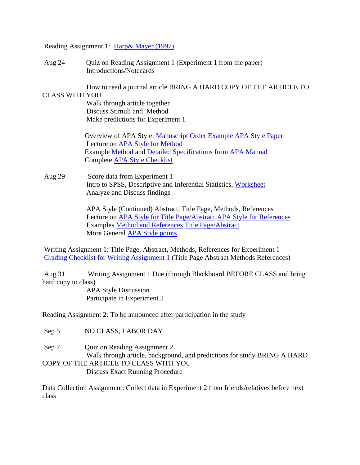Reading Assignment 1: [Harp& Mayer \(1997\)](http://wiley.lsri.uic.edu/psch353/Harp%20&%20Mayer%20(1997).pdf)

Aug 24 Quiz on Reading Assignment 1 (Experiment 1 from the paper) Introductions/Notecards

How to read a journal article BRING A HARD COPY OF THE ARTICLE TO

CLASS WITH YOU Walk through article together Discuss Stimuli and Method Make predictions for Experiment 1

> Overview of APA Style: [Manuscript Order](http://wiley.lsri.uic.edu/psch353/APA_MS_Overview_F16.doc) [Example APA Style Paper](http://wiley.lsri.uic.edu/psch353/Example_APA_OneExp.pdf) Lecture on [APA Style for Method](http://wiley.lsri.uic.edu/psch353/APA_Method_F16.doc) Example [Method](http://wiley.lsri.uic.edu/psch353/APAstyle_method_example.pdf) and [Detailed Specifications from APA Manual](http://wiley.lsri.uic.edu/psch353/APAstyle_method_elements.pdf) Complete [APA Style Checklist](http://wiley.lsri.uic.edu/psch353/APA_Checklist_Final_Papers_F16.doc)

Aug 29 Score data from Experiment 1 Intro to SPSS, Descriptive and Inferential Statistics, [Worksheet](http://wiley.lsri.uic.edu/psch353/how2spss_exp1_f16.doc) Analyze and Discuss findings

> APA Style (Continued) Abstract, Title Page, Methods, References Lecture on [APA Style for Title Page/Abstract](http://wiley.lsri.uic.edu/psch353/APA_Title_Abstract_F16.doc) [APA Style for References](http://wiley.lsri.uic.edu/psch353/APA_References_F16.doc) Examples [Method and References](http://wiley.lsri.uic.edu/psch353/Example_APA_Method_References.pdf) [Title Page/Abstract](http://wiley.lsri.uic.edu/psch353/Example_APA_Title_Abstract.pdf) More General [APA Style points](http://wiley.lsri.uic.edu/psch353/More%20General%20APA%20Style.docx)

Writing Assignment 1: Title Page, Abstract, Methods, References for Experiment 1 [Grading Checklist for Writing Assignment 1 \(](http://wiley.lsri.uic.edu/psch353/gradesheet1_F16.doc)Title Page Abstract Methods References)

Aug 31 Writing Assignment 1 Due (through Blackboard BEFORE CLASS and bring hard copy to class)

 APA Style Discussion Participate in Experiment 2

Reading Assignment 2: To be announced after participation in the study

Sep 5 NO CLASS, LABOR DAY

Sep 7 Quiz on Reading Assignment 2 Walk through article, background, and predictions for study BRING A HARD COPY OF THE ARTICLE TO CLASS WITH YOU Discuss Exact Running Procedure

Data Collection Assignment: Collect data in Experiment 2 from friends/relatives before next class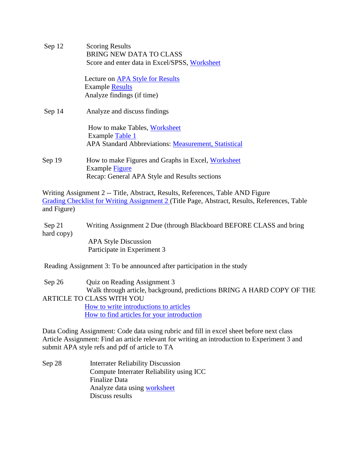Sep 12 Scoring Results BRING NEW DATA TO CLASS Score and enter data in Excel/SPSS, [Worksheet](http://wiley.lsri.uic.edu/psch353/how2spss_exp2_f16.docx) Lecture on [APA Style for Results](http://wiley.lsri.uic.edu/psch353/APA_Results_F16.docx) Example [Results](http://wiley.lsri.uic.edu/psch353/Example_APA_Results.pdf) Analyze findings (if time) Sep 14 Analyze and discuss findings How to make Tables, [Worksheet](http://wiley.lsri.uic.edu/psch353/353_Tables_worksheet_F16.docx) Example [Table 1](http://wiley.lsri.uic.edu/psch353/SampleTable_f16.pdf) APA Standard Abbreviations: [Measurement, Statistical](http://wiley.lsri.uic.edu/psch353/APA%20Abbreviations%20Measurement.pdf) Sep 19 How to make Figures and Graphs in Excel, [Worksheet](http://wiley.lsri.uic.edu/psch353/353_FiguresandGraphs_worksheet_F16.docx) Example [Figure](http://wiley.lsri.uic.edu/psch353/Example_APA_Figure.pdf) Recap: General APA Style and Results sections

Writing Assignment 2 -- Title, Abstract, Results, References, Table AND Figure [Grading Checklist for Writing Assignment 2 \(](http://wiley.lsri.uic.edu/psch353/gradesheet2_F16.doc)Title Page, Abstract, Results, References, Table and Figure)

Sep 21 Writing Assignment 2 Due (through Blackboard BEFORE CLASS and bring hard copy) APA Style Discussion

Participate in Experiment 3

Reading Assignment 3: To be announced after participation in the study

Sep 26 Quiz on Reading Assignment 3 Walk through article, background, predictions BRING A HARD COPY OF THE ARTICLE TO CLASS WITH YOU [How to write introductions to articles](http://wiley.lsri.uic.edu/psch353/how2int.doc) [How to find articles for your introduction](http://wiley.lsri.uic.edu/psch353/how2keyword.doc)

Data Coding Assignment: Code data using rubric and fill in excel sheet before next class Article Assignment: Find an article relevant for writing an introduction to Experiment 3 and submit APA style refs and pdf of article to TA

Sep 28 Interrater Reliability Discussion Compute Interrater Reliability using ICC Finalize Data Analyze data using [worksheet](http://wiley.lsri.uic.edu/psch353/how2spss_exp3_f16.docx) Discuss results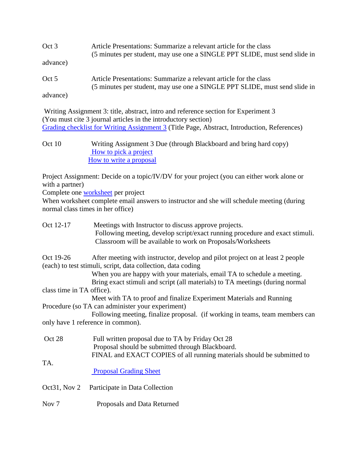| Oct 3    | Article Presentations: Summarize a relevant article for the class<br>(5 minutes per student, may use one a SINGLE PPT SLIDE, must send slide in |
|----------|-------------------------------------------------------------------------------------------------------------------------------------------------|
| advance) |                                                                                                                                                 |
| Oct 5    | Article Presentations: Summarize a relevant article for the class<br>(5 minutes per student, may use one a SINGLE PPT SLIDE, must send slide in |
| advance) |                                                                                                                                                 |

Writing Assignment 3: title, abstract, intro and reference section for Experiment 3 (You must cite 3 journal articles in the introductory section) [Grading checklist for Writing Assignment 3](http://wiley.lsri.uic.edu/psch353/gradesheet3_F16.doc) (Title Page, Abstract, Introduction, References)

Oct 10 Writing Assignment 3 Due (through Blackboard and bring hard copy) [How to pick a project](http://wiley.lsri.uic.edu/psch353/how2proj.html) [How to write a proposal](http://wiley.lsri.uic.edu/psch353/how2prop.doc)

Project Assignment: Decide on a topic/IV/DV for your project (you can either work alone or with a partner)

Complete one [worksheet](http://wiley.lsri.uic.edu/psch353/how2proj.html) per project

When worksheet complete email answers to instructor and she will schedule meeting (during normal class times in her office)

| Oct 12-17                                                    | Meetings with Instructor to discuss approve projects.<br>Following meeting, develop script/exact running procedure and exact stimuli. |  |  |
|--------------------------------------------------------------|---------------------------------------------------------------------------------------------------------------------------------------|--|--|
|                                                              | Classroom will be available to work on Proposals/Worksheets                                                                           |  |  |
| Oct 19-26                                                    | After meeting with instructor, develop and pilot project on at least 2 people                                                         |  |  |
| (each) to test stimuli, script, data collection, data coding |                                                                                                                                       |  |  |
|                                                              | When you are happy with your materials, email TA to schedule a meeting.                                                               |  |  |
|                                                              | Bring exact stimuli and script (all materials) to TA meetings (during normal                                                          |  |  |
| class time in TA office).                                    |                                                                                                                                       |  |  |
|                                                              | Meet with TA to proof and finalize Experiment Materials and Running                                                                   |  |  |
|                                                              | Procedure (so TA can administer your experiment)                                                                                      |  |  |
|                                                              | Following meeting, finalize proposal. (if working in teams, team members can                                                          |  |  |
|                                                              | only have 1 reference in common).                                                                                                     |  |  |
|                                                              |                                                                                                                                       |  |  |
| Oct 28                                                       | Full written proposal due to TA by Friday Oct 28                                                                                      |  |  |
|                                                              | Proposal should be submitted through Blackboard.                                                                                      |  |  |
|                                                              | FINAL and EXACT COPIES of all running materials should be submitted to                                                                |  |  |
| TA.                                                          |                                                                                                                                       |  |  |
|                                                              | <b>Proposal Grading Sheet</b>                                                                                                         |  |  |
| Oct31, Nov $2$                                               | Participate in Data Collection                                                                                                        |  |  |
| Nov <sub>7</sub>                                             | Proposals and Data Returned                                                                                                           |  |  |